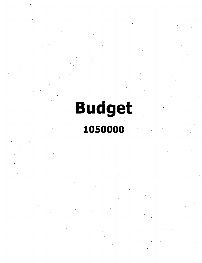*4*

**v**

**<**

# **Budget 1050000 ;**

*t*

**/**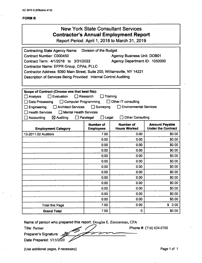#### **FORMB**

# New York State Consultant Services **Contractor's Annual Employment Report**

Report Period: April 1,2018 to March 31,2019

| Contracting State Agency Name: Division of the Budget<br>Contract Number: C000450<br><b>Agency Business Unit: DOB01</b><br>Contract Term: 4/1/2018 to 3/31/2022<br>Agency Department ID: 1050000<br>Contractor Name: EFPR Group, CPAs, PLLC<br>Contractor Address: 6390 Main Street, Suite 200, Williamsville, NY 14221<br>Description of Services Being Provided: Internal Control Auditing                                                          |                                      |                                         |                                                    |
|-------------------------------------------------------------------------------------------------------------------------------------------------------------------------------------------------------------------------------------------------------------------------------------------------------------------------------------------------------------------------------------------------------------------------------------------------------|--------------------------------------|-----------------------------------------|----------------------------------------------------|
| Scope of Contract (Choose one that best fits):<br>$\sqcap$ Evaluation<br>$\Box$ Research<br>Training<br>Analysis<br>$\Box$ Other IT consulting<br>□ Computer Programming<br>Data Processing<br>Environmental Services<br><b>Architect Services</b><br>$\Box$ Surveying<br>Engineering<br><b>Health Services</b><br>$\Box$ Mental Health Services<br>$\Box$ Legal<br><b>Other Consulting</b><br>$\boxtimes$ Auditing<br>$\Box$ Paralegal<br>Accounting |                                      |                                         |                                                    |
| <b>Employment Category</b>                                                                                                                                                                                                                                                                                                                                                                                                                            | <b>Number of</b><br><b>Employees</b> | <b>Number of</b><br><b>Hours Worked</b> | <b>Amount Payable</b><br><b>Under the Contract</b> |
| 13-2011.02 Auditors                                                                                                                                                                                                                                                                                                                                                                                                                                   | 7.00                                 | 0.00                                    | \$0.00                                             |
|                                                                                                                                                                                                                                                                                                                                                                                                                                                       | 0.00                                 | 0.00                                    | \$0.00                                             |
|                                                                                                                                                                                                                                                                                                                                                                                                                                                       | 0.00                                 | 0.00                                    | \$0.00                                             |
|                                                                                                                                                                                                                                                                                                                                                                                                                                                       | 0.00                                 | 0.00                                    | \$0.00                                             |
|                                                                                                                                                                                                                                                                                                                                                                                                                                                       | 0.00                                 | 0.00                                    | \$0.00                                             |
|                                                                                                                                                                                                                                                                                                                                                                                                                                                       | 0.00                                 | 0.00                                    | \$0.00                                             |
|                                                                                                                                                                                                                                                                                                                                                                                                                                                       | 0.00                                 | 0.00                                    | \$0.00                                             |
|                                                                                                                                                                                                                                                                                                                                                                                                                                                       | 0.00                                 | 0.00                                    | SO.OO                                              |
|                                                                                                                                                                                                                                                                                                                                                                                                                                                       | 0.00                                 | 0.00                                    | \$0.00                                             |
|                                                                                                                                                                                                                                                                                                                                                                                                                                                       | 0.00                                 | 0.00                                    | \$0.00                                             |
|                                                                                                                                                                                                                                                                                                                                                                                                                                                       | 0.00                                 | 0.00                                    | \$0.00                                             |
|                                                                                                                                                                                                                                                                                                                                                                                                                                                       | 0.00                                 | 0.00                                    | \$0.00                                             |
|                                                                                                                                                                                                                                                                                                                                                                                                                                                       | 0.00                                 | 0.00                                    | \$0.00                                             |
| <b>Total this Page</b>                                                                                                                                                                                                                                                                                                                                                                                                                                | 7.00                                 | 0.00                                    | \$0.00                                             |
| <b>Grand Total</b>                                                                                                                                                                                                                                                                                                                                                                                                                                    | 7.00                                 | $\mathbf 0$                             | \$0.00                                             |

■>

**Name of person who prepared this report:** Douglas E. Zimmerman, CPA

Title: Partner

**Phone** #: (716) 634-0700

**Preparer's Signature:**

**Date Prepared: 5/15/2020** 

(Use additional pages, if necessary) example 2 and the example of the Page 1 of 1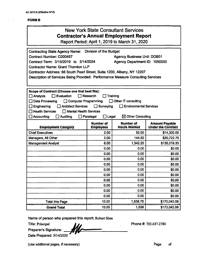#### **FORM B**

 $\ddot{\phantom{0}}$ 

| <b>New York State Consultant Services</b><br><b>Contractor's Annual Employment Report</b><br>Report Period: April 1, 2019 to March 31, 2020                                                                                                                                                                                                                                                                                                                   |                                      |                                  |                                             |  |
|---------------------------------------------------------------------------------------------------------------------------------------------------------------------------------------------------------------------------------------------------------------------------------------------------------------------------------------------------------------------------------------------------------------------------------------------------------------|--------------------------------------|----------------------------------|---------------------------------------------|--|
| <b>Division of the Budget</b><br><b>Contracting State Agency Name:</b><br>Contract Number: C000457<br><b>Agency Business Unit: DOB01</b><br>Contract Term: 3/15/2019 to 3/14/2024<br>Agency Department ID: 1050000<br><b>Contractor Name: Grant Thornton LLP</b><br>Contractor Address: 66 South Pearl Street, Suite 1200, Albany, NY 12207<br>Description of Services Being Provided: Performance Measure Consulting Services                                |                                      |                                  |                                             |  |
| Scope of Contract (Choose one that best fits):<br>Analysis<br>$\exists$ Evaluation<br><b>Research</b><br><b>Training</b><br><b>Data Processing</b><br>$\Box$ Computer Programming<br>Other IT consulting<br><b>Architect Services</b><br>Surveying<br><b>Environmental Services</b><br>Engineering<br>$\mathbf{I}$<br><b>Health Services</b><br>Mental Health Services<br>$\boxtimes$ Other Consulting<br>Accounting<br><b>Auditing</b><br>Paralegal<br>Legal |                                      |                                  |                                             |  |
| <b>Employment Category</b>                                                                                                                                                                                                                                                                                                                                                                                                                                    | <b>Number of</b><br><b>Employees</b> | Number of<br><b>Höurs Wörked</b> | <b>Amount Payable</b><br>Under the Contract |  |
| <b>Chief Executives</b>                                                                                                                                                                                                                                                                                                                                                                                                                                       | 2.00                                 | 52.00                            | \$14,300.00                                 |  |
| Managers, All Other                                                                                                                                                                                                                                                                                                                                                                                                                                           | 2.00                                 | 144.50                           | \$20,722.75                                 |  |
| <b>Management Analyst</b>                                                                                                                                                                                                                                                                                                                                                                                                                                     | 6.00                                 | 1,342.25                         | \$135,019.33                                |  |
|                                                                                                                                                                                                                                                                                                                                                                                                                                                               | 0.00                                 | 0.00                             | \$0.00                                      |  |
|                                                                                                                                                                                                                                                                                                                                                                                                                                                               | 0.00                                 | 0.00                             | \$0.00                                      |  |
|                                                                                                                                                                                                                                                                                                                                                                                                                                                               | 0.00                                 | 0.00                             | \$0.00                                      |  |
|                                                                                                                                                                                                                                                                                                                                                                                                                                                               | 0.00                                 | 0.00                             | \$0.00                                      |  |
|                                                                                                                                                                                                                                                                                                                                                                                                                                                               | 0.00                                 | 0.00                             | \$0.00                                      |  |
|                                                                                                                                                                                                                                                                                                                                                                                                                                                               | 0.00                                 | 0.00                             | \$0.00                                      |  |
|                                                                                                                                                                                                                                                                                                                                                                                                                                                               | 0.00<br>0.00                         | 0.00<br>0.00                     | \$0.00<br>\$0.00                            |  |
|                                                                                                                                                                                                                                                                                                                                                                                                                                                               | 0.00                                 | 0.00                             | \$0.00                                      |  |
|                                                                                                                                                                                                                                                                                                                                                                                                                                                               | 0.00                                 | 0.00                             | \$0.00                                      |  |
| <b>Total this Page</b>                                                                                                                                                                                                                                                                                                                                                                                                                                        | 10.00                                | 1,538.75                         | \$170,042.08                                |  |
| 10.00<br>\$173,042.08<br>1,538<br><b>Grand Total</b>                                                                                                                                                                                                                                                                                                                                                                                                          |                                      |                                  |                                             |  |

Name of person who prepared this report: Robert Shea

Title: Principal

Preparer's Signature: Date Prepared: 5/14/2020

Phone #: 703.637.2780

(Use additional pages, if necessary) example of the example of the example of the example of the example of the example of the example of the example of the example of the example of the example of the example of the examp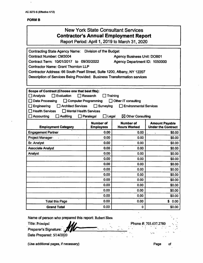#### **FORMB**

 $\ddot{\phantom{0}}$ 

| <b>New York State Consultant Services</b><br><b>Contractor's Annual Employment Report</b><br>Report Period: April 1, 2019 to March 31, 2020                                                                                                                                                                                                                                                                                                            |                                      |                                  |                                                    |
|--------------------------------------------------------------------------------------------------------------------------------------------------------------------------------------------------------------------------------------------------------------------------------------------------------------------------------------------------------------------------------------------------------------------------------------------------------|--------------------------------------|----------------------------------|----------------------------------------------------|
| Division of the Budget<br><b>Contracting State Agency Name:</b><br><b>Contract Number: CM3004</b><br><b>Agency Business Unit: DOB01</b><br>Contract Term: 10/01/2017 to 09/30/2022<br>Agency Department ID: 1050000<br><b>Contractor Name: Grant Thornton LLP</b><br>Contractor Address: 66 South Pearl Street, Suite 1200, Albany, NY 12207<br>Description of Services Being Provided: Business Transformation services                               |                                      |                                  |                                                    |
| Scope of Contract (Choose one that best fits):<br>$\Box$ Evaluation<br><b>Analysis</b><br>Research<br>Training<br>ΙI<br><b>Data Processing</b><br><b>Computer Programming</b><br><b>Other IT consulting</b><br>ΙI<br>Engineering<br><b>Architect Services</b><br>Surveying<br><b>Environmental Services</b><br><b>Health Services</b><br>Mental Health Services<br>Accounting<br><b>Auditing</b><br>$\boxtimes$ Other Consulting<br>Paralegal<br>Legal |                                      |                                  |                                                    |
| <b>Employment Category</b>                                                                                                                                                                                                                                                                                                                                                                                                                             | <b>Number of</b><br><b>Employees</b> | Number of<br><b>Hours Worked</b> | <b>Amount Payable</b><br><b>Under the Contract</b> |
| <b>Engagement Partner</b>                                                                                                                                                                                                                                                                                                                                                                                                                              | 0.00                                 | 0.00                             | \$0.00                                             |
| Project Manager                                                                                                                                                                                                                                                                                                                                                                                                                                        | 0.00                                 | 0.00                             | \$0.00                                             |
| Sr. Analyst                                                                                                                                                                                                                                                                                                                                                                                                                                            | 0.00                                 | 0.00                             | \$0.00                                             |
| <b>Associate Analyst</b>                                                                                                                                                                                                                                                                                                                                                                                                                               | 0.00                                 | 0.00                             | \$0.00                                             |
|                                                                                                                                                                                                                                                                                                                                                                                                                                                        |                                      |                                  |                                                    |
| Analyst                                                                                                                                                                                                                                                                                                                                                                                                                                                | 0.00                                 | 0.00                             | \$0.00                                             |
|                                                                                                                                                                                                                                                                                                                                                                                                                                                        | 0.00                                 | 0.00                             | \$0.00                                             |
|                                                                                                                                                                                                                                                                                                                                                                                                                                                        | 0.00                                 | 0.00                             | \$0.00                                             |
|                                                                                                                                                                                                                                                                                                                                                                                                                                                        | 0.00                                 | 0.00                             | \$0.00                                             |
|                                                                                                                                                                                                                                                                                                                                                                                                                                                        | 0.00                                 | 0.00                             | \$0.00                                             |
|                                                                                                                                                                                                                                                                                                                                                                                                                                                        | 0.00                                 | 0.00                             | \$0.00                                             |
|                                                                                                                                                                                                                                                                                                                                                                                                                                                        | 0.00                                 | 0.00                             | \$0.00                                             |
|                                                                                                                                                                                                                                                                                                                                                                                                                                                        | 0.00                                 | 0.00                             | \$0.00                                             |
|                                                                                                                                                                                                                                                                                                                                                                                                                                                        | 0.00                                 | 0.00                             | \$0.00                                             |
| <b>Total this Page</b>                                                                                                                                                                                                                                                                                                                                                                                                                                 | 0.00<br>0.00                         | 0.00                             | \$0.00<br>\$0.00                                   |

Name of person who prepared this report: Robert Shea

Title: Principal

Preparer's Signature:

Date Prepared: 5/14/2020

(Use additional pages, if necessary) example of the example of the example of the example of the example of the example of the example of the example of the example of the example of the example of the example of the examp

Phone #: 703.637.2780

i"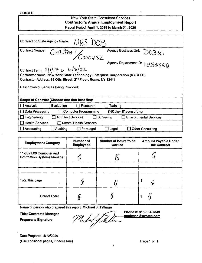### **New York State Consultant Services Contractor's Annual Employment Report** Report Period: **April 1, 2019 to March 31,2020**

| A)USD<br><b>Contracting State Agency Name:</b>                                                                                                          |                                            |  |  |
|---------------------------------------------------------------------------------------------------------------------------------------------------------|--------------------------------------------|--|--|
| <b>Contract Number:</b><br>$\overline{C}$ m $3007$ COOOUS2                                                                                              | <b>Agency Business Unit:</b><br>1201581    |  |  |
| Contract Term: $11/17$ to $10/31/22$                                                                                                                    | <b>Agency Department ID:</b><br>1050000    |  |  |
| Contractor Name: New York State Technology Enterprise Corporation (NYSTEC)<br>Contractor Address: 99 Otis Street, 2 <sup>nd</sup> Floor, Rome, NY 13441 |                                            |  |  |
| Description of Services Being Provided:                                                                                                                 |                                            |  |  |
| Scope of Contract (Choose one that best fits):                                                                                                          |                                            |  |  |
| Analysis<br>Evaluation<br>Research                                                                                                                      | Training                                   |  |  |
| Data Processing<br><b>Computer Programming</b>                                                                                                          | $\boxtimes$ Other IT consulting            |  |  |
| Engineering<br><b>Architect Services</b>                                                                                                                | Surveying<br><b>Environmental Services</b> |  |  |
| <b>Health Services</b><br><b>Mental Health Services</b>                                                                                                 |                                            |  |  |
| $\Box$ Accounting<br><b>Auditing</b><br>Paralegal                                                                                                       | <b>Other Consulting</b><br>Legal           |  |  |

| <b>Employment Category</b>                                    | <b>Number of</b><br><b>Employees</b> | Number of hours to be<br>worked | <b>Amount Payable Under</b><br>the Contract |
|---------------------------------------------------------------|--------------------------------------|---------------------------------|---------------------------------------------|
| 11-3021.00 Computer and<br><b>Information Systems Manager</b> |                                      |                                 |                                             |
|                                                               |                                      |                                 |                                             |
| Total this page                                               |                                      |                                 | \$                                          |
| <b>Grand Total</b>                                            |                                      |                                 | \$                                          |

Name of person who prepared this report: **Michael J. Tallman**

**Title: Contracts Manager**

**Preparer's Signature:**

**Phone #: 315-334-7843** Michel Stuller **[jntallman@nvstec.com](mailto:jntallman@nvstec.com)**

Date Prepared: **5/12/2020** (Use additional pages, if necessary) example the example of the Page 1 of 1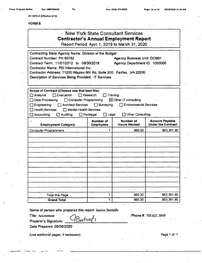**AC 3272-S (Effective 4/12)**

#### **FORMB**

|                                                                                                                                                                                                                                                                                                            |                                                                                            | <b>New York State Consultant Services</b><br><b>Contractor's Annual Employment Report</b><br>Report Period: April 1, 2019 to March 31, 2020 |                                                    |
|------------------------------------------------------------------------------------------------------------------------------------------------------------------------------------------------------------------------------------------------------------------------------------------------------------|--------------------------------------------------------------------------------------------|---------------------------------------------------------------------------------------------------------------------------------------------|----------------------------------------------------|
| Contracting State Agency Name: Division of the Budget<br>Contract Number: PH 65782<br>Contract Term: 11/01/2012 to 06/30/2019<br>Contractor Name: PSI International Inc.<br>Contractor Address: 11200 Waples Mill Rd, Suite 200 Fairfax, , VA 22030<br>Description of Services Being Provided: IT Services |                                                                                            | <b>Agency Business Unit: DOB01</b><br>Agency Department ID: 1050000                                                                         |                                                    |
| Scope of Contract (Choose one that best fits):<br>$\Box$ Evaluation<br>$\Box$ Analysis<br>Data Processing<br>Computer Programming<br>□ Architect Services<br>$\Box$ Engineering<br>Health Services<br>Mental Health Services<br>$\Box$ Accounting<br>$\Box$ Auditing                                       | $\Box$ Research<br>$\Box$ Training<br>$\Box$ Surveying<br>$\Box$ Legal<br>$\Box$ Paralegal | $\boxtimes$ Other IT consulting<br>$\Box$ Environmental Services<br>· □ Other Consulting                                                    |                                                    |
| <b>Employment Category</b>                                                                                                                                                                                                                                                                                 | <b>Number of</b><br><b>Employees</b>                                                       | Number of<br><b>Hours Worked</b>                                                                                                            | <b>Amount Payable</b><br><b>Under the Contract</b> |
| <b>Computer Programmers</b>                                                                                                                                                                                                                                                                                | 1                                                                                          | 965.00                                                                                                                                      | \$63,361.90                                        |
|                                                                                                                                                                                                                                                                                                            |                                                                                            |                                                                                                                                             |                                                    |
|                                                                                                                                                                                                                                                                                                            |                                                                                            |                                                                                                                                             |                                                    |
|                                                                                                                                                                                                                                                                                                            |                                                                                            |                                                                                                                                             |                                                    |
|                                                                                                                                                                                                                                                                                                            |                                                                                            |                                                                                                                                             |                                                    |
|                                                                                                                                                                                                                                                                                                            |                                                                                            |                                                                                                                                             |                                                    |
|                                                                                                                                                                                                                                                                                                            |                                                                                            |                                                                                                                                             |                                                    |
|                                                                                                                                                                                                                                                                                                            |                                                                                            |                                                                                                                                             |                                                    |
|                                                                                                                                                                                                                                                                                                            |                                                                                            |                                                                                                                                             |                                                    |
|                                                                                                                                                                                                                                                                                                            |                                                                                            |                                                                                                                                             |                                                    |
| <b>Total this Page</b>                                                                                                                                                                                                                                                                                     | 1                                                                                          | 965.00                                                                                                                                      | \$63,361.90                                        |
| \$63,361.90<br>965.00<br><b>Grand Total</b><br>1                                                                                                                                                                                                                                                           |                                                                                            |                                                                                                                                             |                                                    |

**. Name of person who prepared this report: Jasmin Bertulfo**

Bertwy

**Title: Accountant**

**Preparer's Signature:**

**Date Prepared: 05/08/2020**

(Use additional pages, if necessary) example and the example of the Page 1 of 1

**. Phone#:** 703.621.5849